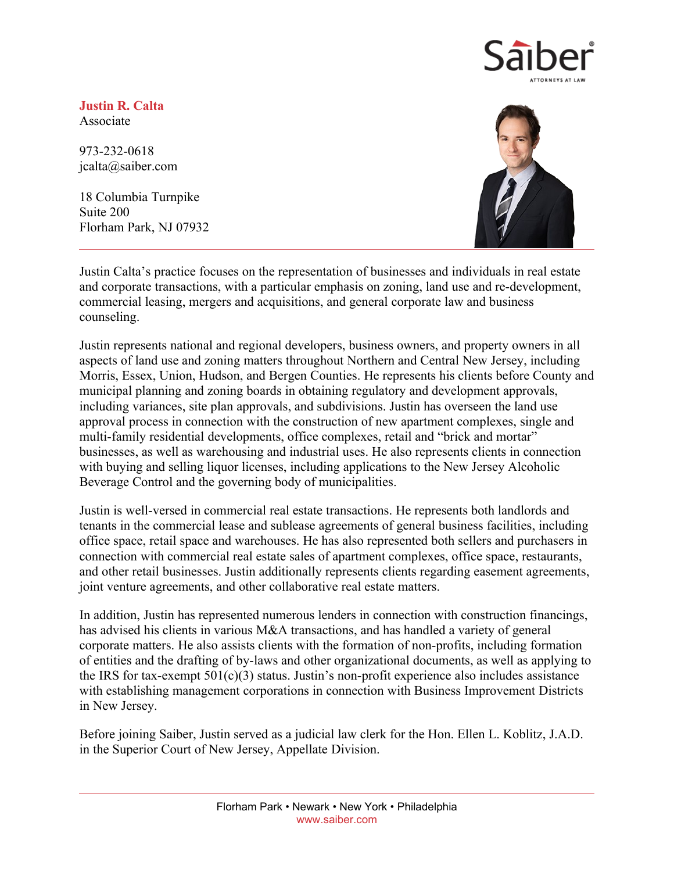

**Justin R. Calta** Associate

973-232-0618 jcalta@saiber.com

18 Columbia Turnpike Suite 200 Florham Park, NJ 07932



Justin Calta's practice focuses on the representation of businesses and individuals in real estate and corporate transactions, with a particular emphasis on zoning, land use and re-development, commercial leasing, mergers and acquisitions, and general corporate law and business counseling.

Justin represents national and regional developers, business owners, and property owners in all aspects of land use and zoning matters throughout Northern and Central New Jersey, including Morris, Essex, Union, Hudson, and Bergen Counties. He represents his clients before County and municipal planning and zoning boards in obtaining regulatory and development approvals, including variances, site plan approvals, and subdivisions. Justin has overseen the land use approval process in connection with the construction of new apartment complexes, single and multi-family residential developments, office complexes, retail and "brick and mortar" businesses, as well as warehousing and industrial uses. He also represents clients in connection with buying and selling liquor licenses, including applications to the New Jersey Alcoholic Beverage Control and the governing body of municipalities.

Justin is well-versed in commercial real estate transactions. He represents both landlords and tenants in the commercial lease and sublease agreements of general business facilities, including office space, retail space and warehouses. He has also represented both sellers and purchasers in connection with commercial real estate sales of apartment complexes, office space, restaurants, and other retail businesses. Justin additionally represents clients regarding easement agreements, joint venture agreements, and other collaborative real estate matters.

In addition, Justin has represented numerous lenders in connection with construction financings, has advised his clients in various M&A transactions, and has handled a variety of general corporate matters. He also assists clients with the formation of non-profits, including formation of entities and the drafting of by-laws and other organizational documents, as well as applying to the IRS for tax-exempt  $501(c)(3)$  status. Justin's non-profit experience also includes assistance with establishing management corporations in connection with Business Improvement Districts in New Jersey.

Before joining Saiber, Justin served as a judicial law clerk for the Hon. Ellen L. Koblitz, J.A.D. in the Superior Court of New Jersey, Appellate Division.